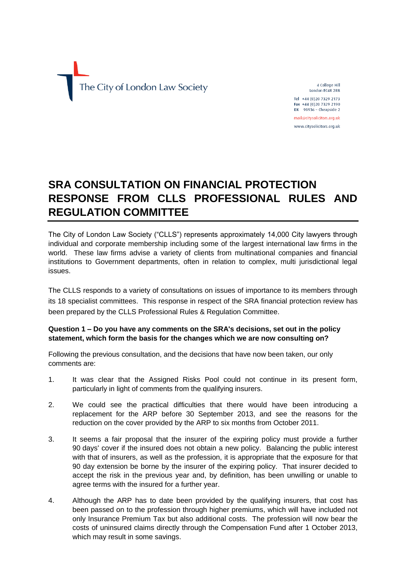

4 College Hill London EC4R 2RB Tel +44 (0) 20 7329 2173 Fax +44 (0) 20 7329 2190 DX  $98936$  - Cheapside 2

mail@citysolicitors.org.uk www.citysolicitors.org.uk

# **SRA CONSULTATION ON FINANCIAL PROTECTION RESPONSE FROM CLLS PROFESSIONAL RULES AND REGULATION COMMITTEE**

The City of London Law Society ("CLLS") represents approximately 14,000 City lawyers through individual and corporate membership including some of the largest international law firms in the world. These law firms advise a variety of clients from multinational companies and financial institutions to Government departments, often in relation to complex, multi jurisdictional legal issues.

The CLLS responds to a variety of consultations on issues of importance to its members through its 18 specialist committees. This response in respect of the [SRA financial protection review h](http://www.sra.org.uk/sra/consultations/financial-protection-review.page)as been prepared by the CLLS Professional Rules & Regulation Committee.

## **Question 1 – Do you have any comments on the SRA's decisions, set out in the policy statement, which form the basis for the changes which we are now consulting on?**

Following the previous consultation, and the decisions that have now been taken, our only comments are:

- 1. It was clear that the Assigned Risks Pool could not continue in its present form, particularly in light of comments from the qualifying insurers.
- 2. We could see the practical difficulties that there would have been introducing a replacement for the ARP before 30 September 2013, and see the reasons for the reduction on the cover provided by the ARP to six months from October 2011.
- 3. It seems a fair proposal that the insurer of the expiring policy must provide a further 90 days' cover if the insured does not obtain a new policy. Balancing the public interest with that of insurers, as well as the profession, it is appropriate that the exposure for that 90 day extension be borne by the insurer of the expiring policy. That insurer decided to accept the risk in the previous year and, by definition, has been unwilling or unable to agree terms with the insured for a further year.
- 4. Although the ARP has to date been provided by the qualifying insurers, that cost has been passed on to the profession through higher premiums, which will have included not only Insurance Premium Tax but also additional costs. The profession will now bear the costs of uninsured claims directly through the Compensation Fund after 1 October 2013, which may result in some savings.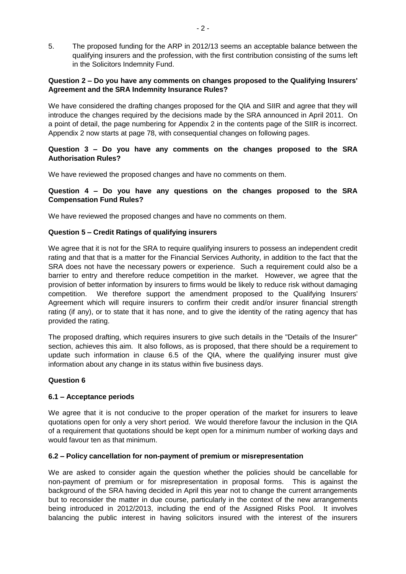5. The proposed funding for the ARP in 2012/13 seems an acceptable balance between the qualifying insurers and the profession, with the first contribution consisting of the sums left in the Solicitors Indemnity Fund.

## **Question 2 – Do you have any comments on changes proposed to the Qualifying Insurers' Agreement and the SRA Indemnity Insurance Rules?**

We have considered the drafting changes proposed for the QIA and SIIR and agree that they will introduce the changes required by the decisions made by the SRA announced in April 2011. On a point of detail, the page numbering for Appendix 2 in the contents page of the SIIR is incorrect. Appendix 2 now starts at page 78, with consequential changes on following pages.

# **Question 3 – Do you have any comments on the changes proposed to the SRA Authorisation Rules?**

We have reviewed the proposed changes and have no comments on them.

# **Question 4 – Do you have any questions on the changes proposed to the SRA Compensation Fund Rules?**

We have reviewed the proposed changes and have no comments on them.

## **Question 5 – Credit Ratings of qualifying insurers**

We agree that it is not for the SRA to require qualifying insurers to possess an independent credit rating and that that is a matter for the Financial Services Authority, in addition to the fact that the SRA does not have the necessary powers or experience. Such a requirement could also be a barrier to entry and therefore reduce competition in the market. However, we agree that the provision of better information by insurers to firms would be likely to reduce risk without damaging competition. We therefore support the amendment proposed to the Qualifying Insurers' Agreement which will require insurers to confirm their credit and/or insurer financial strength rating (if any), or to state that it has none, and to give the identity of the rating agency that has provided the rating.

The proposed drafting, which requires insurers to give such details in the "Details of the Insurer" section, achieves this aim. It also follows, as is proposed, that there should be a requirement to update such information in clause 6.5 of the QIA, where the qualifying insurer must give information about any change in its status within five business days.

#### **Question 6**

# **6.1 – Acceptance periods**

We agree that it is not conducive to the proper operation of the market for insurers to leave quotations open for only a very short period. We would therefore favour the inclusion in the QIA of a requirement that quotations should be kept open for a minimum number of working days and would favour ten as that minimum.

#### **6.2 – Policy cancellation for non-payment of premium or misrepresentation**

We are asked to consider again the question whether the policies should be cancellable for non-payment of premium or for misrepresentation in proposal forms. This is against the background of the SRA having decided in April this year not to change the current arrangements but to reconsider the matter in due course, particularly in the context of the new arrangements being introduced in 2012/2013, including the end of the Assigned Risks Pool. It involves balancing the public interest in having solicitors insured with the interest of the insurers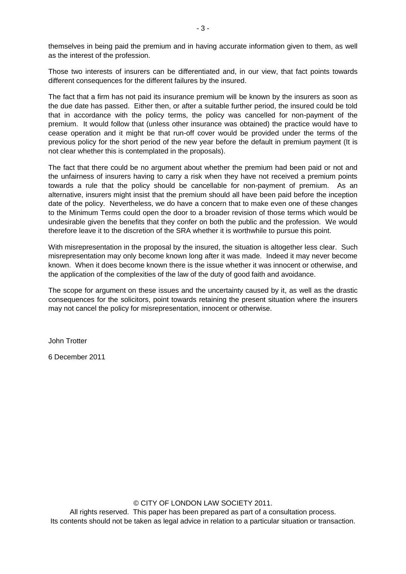themselves in being paid the premium and in having accurate information given to them, as well as the interest of the profession.

Those two interests of insurers can be differentiated and, in our view, that fact points towards different consequences for the different failures by the insured.

The fact that a firm has not paid its insurance premium will be known by the insurers as soon as the due date has passed. Either then, or after a suitable further period, the insured could be told that in accordance with the policy terms, the policy was cancelled for non-payment of the premium. It would follow that (unless other insurance was obtained) the practice would have to cease operation and it might be that run-off cover would be provided under the terms of the previous policy for the short period of the new year before the default in premium payment (It is not clear whether this is contemplated in the proposals).

The fact that there could be no argument about whether the premium had been paid or not and the unfairness of insurers having to carry a risk when they have not received a premium points towards a rule that the policy should be cancellable for non-payment of premium. As an alternative, insurers might insist that the premium should all have been paid before the inception date of the policy. Nevertheless, we do have a concern that to make even one of these changes to the Minimum Terms could open the door to a broader revision of those terms which would be undesirable given the benefits that they confer on both the public and the profession. We would therefore leave it to the discretion of the SRA whether it is worthwhile to pursue this point.

With misrepresentation in the proposal by the insured, the situation is altogether less clear. Such misrepresentation may only become known long after it was made. Indeed it may never become known. When it does become known there is the issue whether it was innocent or otherwise, and the application of the complexities of the law of the duty of good faith and avoidance.

The scope for argument on these issues and the uncertainty caused by it, as well as the drastic consequences for the solicitors, point towards retaining the present situation where the insurers may not cancel the policy for misrepresentation, innocent or otherwise.

John Trotter

6 December 2011

## © CITY OF LONDON LAW SOCIETY 2011.

All rights reserved. This paper has been prepared as part of a consultation process. Its contents should not be taken as legal advice in relation to a particular situation or transaction.